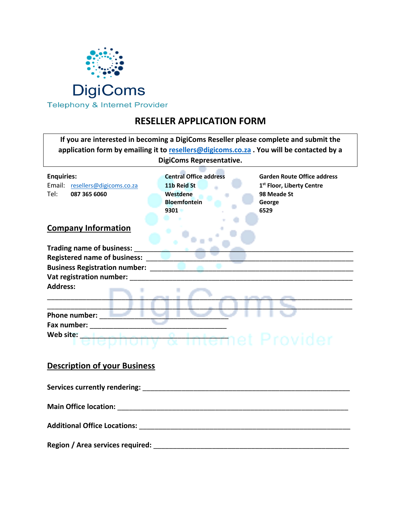

# **RESELLER APPLICATION FORM**

| If you are interested in becoming a DigiComs Reseller please complete and submit the    |                                                                 |                                                                                            |
|-----------------------------------------------------------------------------------------|-----------------------------------------------------------------|--------------------------------------------------------------------------------------------|
| application form by emailing it to resellers@digicoms.co.za. You will be contacted by a |                                                                 |                                                                                            |
|                                                                                         | <b>DigiComs Representative.</b>                                 |                                                                                            |
| <b>Enquiries:</b><br>Email: resellers@digicoms.co.za<br>Tel:<br>087 365 6060            | <b>Central Office address</b><br>11b Reid St<br><b>Westdene</b> | <b>Garden Route Office address</b><br>1 <sup>st</sup> Floor, Liberty Centre<br>98 Meade St |
|                                                                                         | <b>Bloemfontein</b><br>9301                                     | George<br>6529                                                                             |
| <b>Company Information</b>                                                              |                                                                 |                                                                                            |
| Trading name of business:                                                               |                                                                 |                                                                                            |
| <b>Registered name of business:</b>                                                     |                                                                 |                                                                                            |
| <b>Business Registration number:</b>                                                    |                                                                 |                                                                                            |
| Vat registration number:                                                                |                                                                 |                                                                                            |
| <b>Address:</b>                                                                         |                                                                 |                                                                                            |
| Phone number:                                                                           |                                                                 |                                                                                            |
| Fax number:                                                                             |                                                                 |                                                                                            |
| Web site:                                                                               | <del>&amp; Inter</del> net Provider                             |                                                                                            |
| Decerintion of vour Rusingss                                                            |                                                                 |                                                                                            |

### **Description of your Business**

| Services currently rendering: The Contract of the Contract of the Contract of the Contract of the Contract of the Contract of the Contract of the Contract of the Contract of the Contract of the Contract of the Contract of |
|-------------------------------------------------------------------------------------------------------------------------------------------------------------------------------------------------------------------------------|
|                                                                                                                                                                                                                               |
| <b>Additional Office Locations:</b> Additional Office Locations:                                                                                                                                                              |
| Region / Area services required:                                                                                                                                                                                              |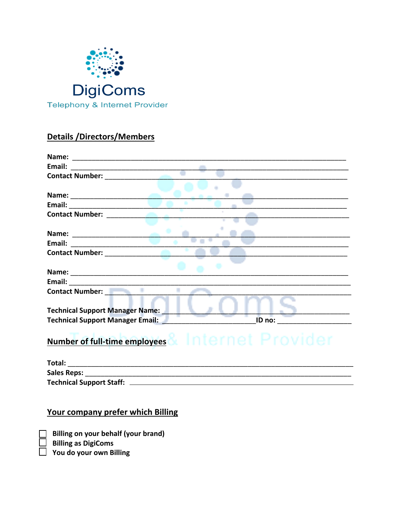

## **Details / Directors/ Members**

| Email:                                            |
|---------------------------------------------------|
| Contact Number: ________________                  |
|                                                   |
|                                                   |
|                                                   |
| <b>Contact Number:</b>                            |
|                                                   |
|                                                   |
|                                                   |
| Contact Number: ___________________               |
|                                                   |
|                                                   |
|                                                   |
|                                                   |
|                                                   |
| <b>Technical Support Manager Name:</b>            |
| <b>Technical Support Manager Email:</b><br>ID no: |
|                                                   |
| Number of full-time employees & Internet Provider |

| Total:                          |  |
|---------------------------------|--|
| <b>Sales Reps:</b>              |  |
| <b>Technical Support Staff:</b> |  |

# Your company prefer which Billing

| Billing on your behalf (your brand) |
|-------------------------------------|
| <b>Billing as DigiComs</b>          |
| You do your own Billing             |

 $\begin{array}{c} \square \\ \square \end{array}$